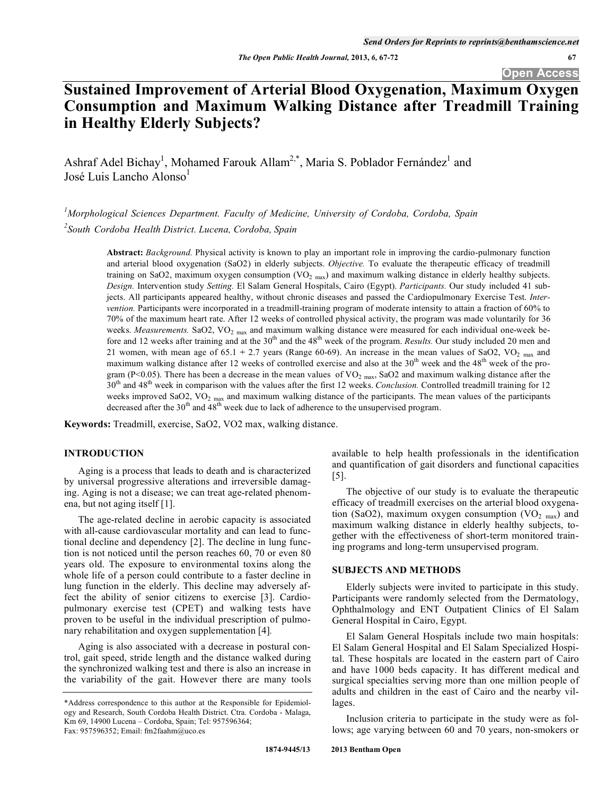# **Sustained Improvement of Arterial Blood Oxygenation, Maximum Oxygen Consumption and Maximum Walking Distance after Treadmill Training in Healthy Elderly Subjects?**

Ashraf Adel Bichay<sup>1</sup>, Mohamed Farouk Allam<sup>2,\*</sup>, Maria S. Poblador Fernández<sup>1</sup> and José Luis Lancho Alonso $<sup>1</sup>$ </sup>

*1 Morphological Sciences Department. Faculty of Medicine, University of Cordoba, Cordoba, Spain 2 South Cordoba Health District. Lucena, Cordoba, Spain* 

> **Abstract:** *Background.* Physical activity is known to play an important role in improving the cardio-pulmonary function and arterial blood oxygenation (SaO2) in elderly subjects. *Objective.* To evaluate the therapeutic efficacy of treadmill training on SaO2, maximum oxygen consumption  $(VO<sub>2 max</sub>)$  and maximum walking distance in elderly healthy subjects. *Design.* Intervention study *Setting.* El Salam General Hospitals, Cairo (Egypt). *Participants.* Our study included 41 subjects. All participants appeared healthy, without chronic diseases and passed the Cardiopulmonary Exercise Test. *Intervention.* Participants were incorporated in a treadmill-training program of moderate intensity to attain a fraction of 60% to 70% of the maximum heart rate. After 12 weeks of controlled physical activity, the program was made voluntarily for 36 weeks. *Measurements*. SaO2, VO<sub>2 max</sub> and maximum walking distance were measured for each individual one-week before and 12 weeks after training and at the 30<sup>th</sup> and the 48<sup>th</sup> week of the program. *Results*. Our study included 20 men and 21 women, with mean age of 65.1 + 2.7 years (Range 60-69). An increase in the mean values of SaO2, VO<sub>2 max</sub> and maximum walking distance after 12 weeks of controlled exercise and also at the  $30<sup>th</sup>$  week and the 48<sup>th</sup> week of the program (P<0.05). There has been a decrease in the mean values of  $VO<sub>2 max</sub>$ , SaO2 and maximum walking distance after the 30th and 48th week in comparison with the values after the first 12 weeks. *Conclusion.* Controlled treadmill training for 12 weeks improved SaO2,  $VO<sub>2</sub>$  max and maximum walking distance of the participants. The mean values of the participants decreased after the 30<sup>th</sup> and 48<sup>th</sup> week due to lack of adherence to the unsupervised program.

**Keywords:** Treadmill, exercise, SaO2, VO2 max, walking distance.

# **INTRODUCTION**

Aging is a process that leads to death and is characterized by universal progressive alterations and irreversible damaging. Aging is not a disease; we can treat age-related phenomena, but not aging itself [1].

The age-related decline in aerobic capacity is associated with all-cause cardiovascular mortality and can lead to functional decline and dependency [2]. The decline in lung function is not noticed until the person reaches 60, 70 or even 80 years old. The exposure to environmental toxins along the whole life of a person could contribute to a faster decline in lung function in the elderly. This decline may adversely affect the ability of senior citizens to exercise [3]. Cardiopulmonary exercise test (CPET) and walking tests have proven to be useful in the individual prescription of pulmonary rehabilitation and oxygen supplementation [4]*.*

Aging is also associated with a decrease in postural control, gait speed, stride length and the distance walked during the synchronized walking test and there is also an increase in the variability of the gait. However there are many tools available to help health professionals in the identification and quantification of gait disorders and functional capacities [5].

The objective of our study is to evaluate the therapeutic efficacy of treadmill exercises on the arterial blood oxygenation (SaO2), maximum oxygen consumption (VO<sub>2 max</sub>) and maximum walking distance in elderly healthy subjects, together with the effectiveness of short-term monitored training programs and long-term unsupervised program.

#### **SUBJECTS AND METHODS**

Elderly subjects were invited to participate in this study. Participants were randomly selected from the Dermatology, Ophthalmology and ENT Outpatient Clinics of El Salam General Hospital in Cairo, Egypt.

El Salam General Hospitals include two main hospitals: El Salam General Hospital and El Salam Specialized Hospital. These hospitals are located in the eastern part of Cairo and have 1000 beds capacity. It has different medical and surgical specialties serving more than one million people of adults and children in the east of Cairo and the nearby villages.

Inclusion criteria to participate in the study were as follows; age varying between 60 and 70 years, non-smokers or

<sup>\*</sup>Address correspondence to this author at the Responsible for Epidemiology and Research, South Cordoba Health District. Ctra. Cordoba - Malaga, Km 69, 14900 Lucena – Cordoba, Spain; Tel: 957596364; Fax: 957596352; Email: fm2faahm@uco.es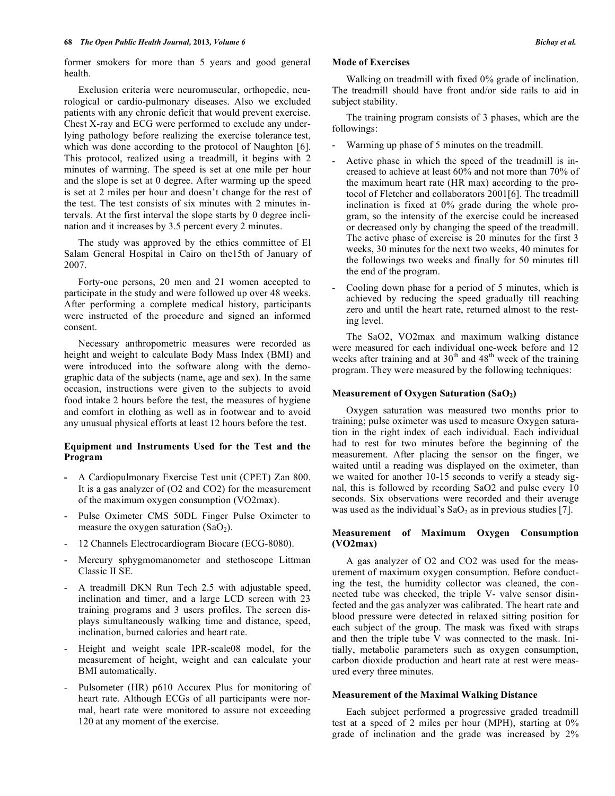former smokers for more than 5 years and good general health.

Exclusion criteria were neuromuscular, orthopedic, neurological or cardio-pulmonary diseases. Also we excluded patients with any chronic deficit that would prevent exercise. Chest X-ray and ECG were performed to exclude any underlying pathology before realizing the exercise tolerance test, which was done according to the protocol of Naughton [6]. This protocol, realized using a treadmill, it begins with 2 minutes of warming. The speed is set at one mile per hour and the slope is set at 0 degree. After warming up the speed is set at 2 miles per hour and doesn't change for the rest of the test. The test consists of six minutes with 2 minutes intervals. At the first interval the slope starts by 0 degree inclination and it increases by 3.5 percent every 2 minutes.

The study was approved by the ethics committee of El Salam General Hospital in Cairo on the15th of January of 2007.

Forty-one persons, 20 men and 21 women accepted to participate in the study and were followed up over 48 weeks. After performing a complete medical history, participants were instructed of the procedure and signed an informed consent.

Necessary anthropometric measures were recorded as height and weight to calculate Body Mass Index (BMI) and were introduced into the software along with the demographic data of the subjects (name, age and sex). In the same occasion, instructions were given to the subjects to avoid food intake 2 hours before the test, the measures of hygiene and comfort in clothing as well as in footwear and to avoid any unusual physical efforts at least 12 hours before the test.

# **Equipment and Instruments Used for the Test and the Program**

- **-** A Cardiopulmonary Exercise Test unit (CPET) Zan 800. It is a gas analyzer of (O2 and CO2) for the measurement of the maximum oxygen consumption (VO2max).
- Pulse Oximeter CMS 50DL Finger Pulse Oximeter to measure the oxygen saturation  $(SaO<sub>2</sub>)$ .
- 12 Channels Electrocardiogram Biocare (ECG-8080).
- Mercury sphygmomanometer and stethoscope Littman Classic II SE.
- A treadmill DKN Run Tech 2.5 with adjustable speed, inclination and timer, and a large LCD screen with 23 training programs and 3 users profiles. The screen displays simultaneously walking time and distance, speed, inclination, burned calories and heart rate.
- Height and weight scale IPR-scale08 model, for the measurement of height, weight and can calculate your BMI automatically.
- Pulsometer (HR) p610 Accurex Plus for monitoring of heart rate. Although ECGs of all participants were normal, heart rate were monitored to assure not exceeding 120 at any moment of the exercise.

#### **Mode of Exercises**

Walking on treadmill with fixed 0% grade of inclination. The treadmill should have front and/or side rails to aid in subject stability.

The training program consists of 3 phases, which are the followings:

- Warming up phase of 5 minutes on the treadmill.
- Active phase in which the speed of the treadmill is increased to achieve at least 60% and not more than 70% of the maximum heart rate (HR max) according to the protocol of Fletcher and collaborators 2001[6]. The treadmill inclination is fixed at 0% grade during the whole program, so the intensity of the exercise could be increased or decreased only by changing the speed of the treadmill. The active phase of exercise is 20 minutes for the first 3 weeks, 30 minutes for the next two weeks, 40 minutes for the followings two weeks and finally for 50 minutes till the end of the program.
- Cooling down phase for a period of 5 minutes, which is achieved by reducing the speed gradually till reaching zero and until the heart rate, returned almost to the resting level.

The SaO2, VO2max and maximum walking distance were measured for each individual one-week before and 12 weeks after training and at  $30<sup>th</sup>$  and  $48<sup>th</sup>$  week of the training program. They were measured by the following techniques:

# **Measurement of Oxygen Saturation (SaO2)**

Oxygen saturation was measured two months prior to training; pulse oximeter was used to measure Oxygen saturation in the right index of each individual. Each individual had to rest for two minutes before the beginning of the measurement. After placing the sensor on the finger, we waited until a reading was displayed on the oximeter, than we waited for another 10-15 seconds to verify a steady signal, this is followed by recording SaO2 and pulse every 10 seconds. Six observations were recorded and their average was used as the individual's  $SaO<sub>2</sub>$  as in previous studies [7].

# **Measurement of Maximum Oxygen Consumption (VO2max)**

A gas analyzer of O2 and CO2 was used for the measurement of maximum oxygen consumption. Before conducting the test, the humidity collector was cleaned, the connected tube was checked, the triple V- valve sensor disinfected and the gas analyzer was calibrated. The heart rate and blood pressure were detected in relaxed sitting position for each subject of the group. The mask was fixed with straps and then the triple tube V was connected to the mask. Initially, metabolic parameters such as oxygen consumption, carbon dioxide production and heart rate at rest were measured every three minutes.

# **Measurement of the Maximal Walking Distance**

Each subject performed a progressive graded treadmill test at a speed of 2 miles per hour (MPH), starting at 0% grade of inclination and the grade was increased by 2%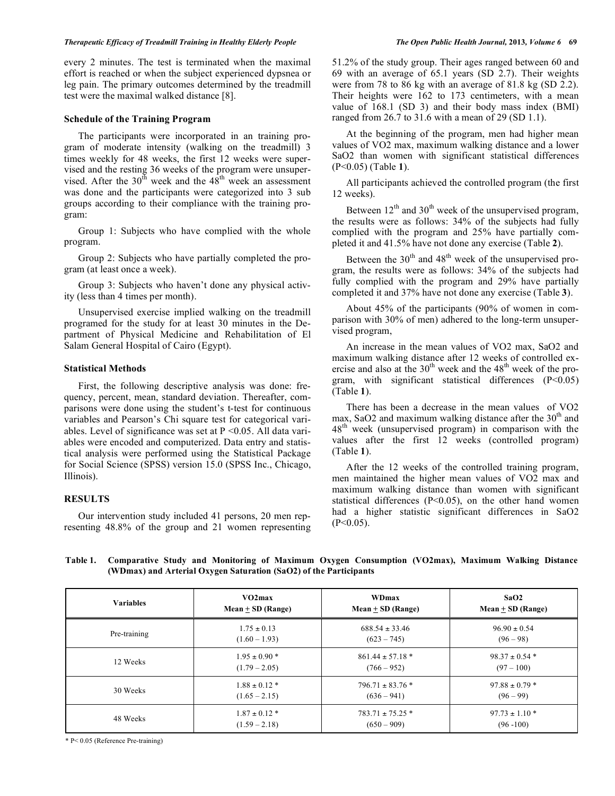#### *Therapeutic Efficacy of Treadmill Training in Healthy Elderly People The Open Public Health Journal,* **2013***, Volume 6* **69**

every 2 minutes. The test is terminated when the maximal effort is reached or when the subject experienced dypsnea or leg pain. The primary outcomes determined by the treadmill test were the maximal walked distance [8].

#### **Schedule of the Training Program**

The participants were incorporated in an training program of moderate intensity (walking on the treadmill) 3 times weekly for 48 weeks, the first 12 weeks were supervised and the resting 36 weeks of the program were unsupervised. After the  $30^{th}$  week and the  $48^{th}$  week an assessment was done and the participants were categorized into 3 sub groups according to their compliance with the training program:

Group 1: Subjects who have complied with the whole program.

Group 2: Subjects who have partially completed the program (at least once a week).

Group 3: Subjects who haven't done any physical activity (less than 4 times per month).

Unsupervised exercise implied walking on the treadmill programed for the study for at least 30 minutes in the Department of Physical Medicine and Rehabilitation of El Salam General Hospital of Cairo (Egypt).

#### **Statistical Methods**

First, the following descriptive analysis was done: frequency, percent, mean, standard deviation. Thereafter, comparisons were done using the student's t-test for continuous variables and Pearson's Chi square test for categorical variables. Level of significance was set at  $P < 0.05$ . All data variables were encoded and computerized. Data entry and statistical analysis were performed using the Statistical Package for Social Science (SPSS) version 15.0 (SPSS Inc., Chicago, Illinois).

# **RESULTS**

Our intervention study included 41 persons, 20 men representing 48.8% of the group and 21 women representing 51.2% of the study group. Their ages ranged between 60 and 69 with an average of 65.1 years (SD 2.7). Their weights were from 78 to 86 kg with an average of 81.8 kg (SD 2.2). Their heights were 162 to 173 centimeters, with a mean value of 168.1 (SD 3) and their body mass index (BMI) ranged from 26.7 to 31.6 with a mean of 29 (SD 1.1).

At the beginning of the program, men had higher mean values of VO2 max, maximum walking distance and a lower SaO2 than women with significant statistical differences (P<0.05) (Table **1**).

All participants achieved the controlled program (the first 12 weeks).

Between  $12<sup>th</sup>$  and  $30<sup>th</sup>$  week of the unsupervised program, the results were as follows: 34% of the subjects had fully complied with the program and 25% have partially completed it and 41.5% have not done any exercise (Table **2**).

Between the  $30<sup>th</sup>$  and  $48<sup>th</sup>$  week of the unsupervised program, the results were as follows: 34% of the subjects had fully complied with the program and 29% have partially completed it and 37% have not done any exercise (Table **3**).

About 45% of the participants (90% of women in comparison with 30% of men) adhered to the long-term unsupervised program,

An increase in the mean values of VO2 max, SaO2 and maximum walking distance after 12 weeks of controlled exercise and also at the  $30<sup>th</sup>$  week and the  $48<sup>th</sup>$  week of the program, with significant statistical differences (P<0.05) (Table **1**).

There has been a decrease in the mean values of VO2 max, SaO2 and maximum walking distance after the  $30<sup>th</sup>$  and  $48<sup>th</sup>$  week (unsupervised program) in comparison with the values after the first 12 weeks (controlled program) (Table **1**).

After the 12 weeks of the controlled training program, men maintained the higher mean values of VO2 max and maximum walking distance than women with significant statistical differences (P<0.05), on the other hand women had a higher statistic significant differences in SaO2  $(P<0.05)$ .

**Table 1. Comparative Study and Monitoring of Maximum Oxygen Consumption (VO2max), Maximum Walking Distance (WDmax) and Arterial Oxygen Saturation (SaO2) of the Participants** 

| <b>Variables</b> | VO2max              | <b>WDmax</b>         | SaO2                |  |
|------------------|---------------------|----------------------|---------------------|--|
|                  | $Mean + SD (Range)$ | $Mean + SD (Range)$  | $Mean + SD (Range)$ |  |
| Pre-training     | $1.75 \pm 0.13$     | $688.54 \pm 33.46$   | $96.90 \pm 0.54$    |  |
|                  | $(1.60 - 1.93)$     | $(623 - 745)$        | $(96 - 98)$         |  |
| 12 Weeks         | $1.95 \pm 0.90$ *   | $861.44 \pm 57.18$ * | $98.37 \pm 0.54$ *  |  |
|                  | $(1.79 - 2.05)$     | $(766 - 952)$        | $(97 - 100)$        |  |
| 30 Weeks         | $1.88 \pm 0.12$ *   | $796.71 \pm 83.76$ * | $97.88 \pm 0.79$ *  |  |
|                  | $(1.65 - 2.15)$     | $(636 - 941)$        | $(96 - 99)$         |  |
| 48 Weeks         | $1.87 \pm 0.12$ *   | $783.71 \pm 75.25$ * | $97.73 \pm 1.10$ *  |  |
|                  | $(1.59 - 2.18)$     | $(650 - 909)$        | $(96 - 100)$        |  |

\* P< 0.05 (Reference Pre-training)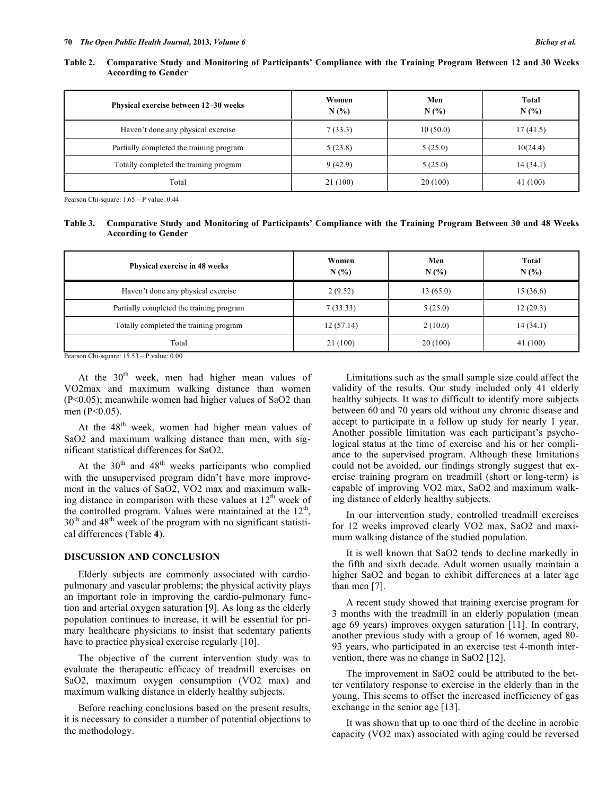| Table 2. Comparative Study and Monitoring of Participants' Compliance with the Training Program Between 12 and 30 Weeks |  |  |
|-------------------------------------------------------------------------------------------------------------------------|--|--|
| <b>According to Gender</b>                                                                                              |  |  |

| Physical exercise between 12–30 weeks    | Women<br>N(%) | Men<br>N(% | Total<br>N(%) |
|------------------------------------------|---------------|------------|---------------|
| Haven't done any physical exercise       | 7(33.3)       | 10(50.0)   | 17(41.5)      |
| Partially completed the training program | 5(23.8)       | 5(25.0)    | 10(24.4)      |
| Totally completed the training program   | 9(42.9)       | 5(25.0)    | 14(34.1)      |
| Total                                    | 21 (100)      | 20(100)    | 41 (100)      |

Pearson Chi-square: 1.65 – P value: 0.44

## **Table 3. Comparative Study and Monitoring of Participants' Compliance with the Training Program Between 30 and 48 Weeks According to Gender**

| Physical exercise in 48 weeks            | Women<br>N(% | Men<br>N(%) | Total<br>N(%) |  |
|------------------------------------------|--------------|-------------|---------------|--|
| Haven't done any physical exercise       | 2(9.52)      | 13(65.0)    | 15(36.6)      |  |
| Partially completed the training program | 7(33.33)     | 5(25.0)     | 12(29.3)      |  |
| Totally completed the training program   | 12(57.14)    | 2(10.0)     | 14(34.1)      |  |
| Total                                    | 21(100)      | 20(100)     | 41(100)       |  |

Pearson Chi-square: 15.53 – P value: 0.00

At the  $30<sup>th</sup>$  week, men had higher mean values of VO2max and maximum walking distance than women (P<0.05); meanwhile women had higher values of SaO2 than men (P<0.05).

At the 48<sup>th</sup> week, women had higher mean values of SaO2 and maximum walking distance than men, with significant statistical differences for SaO2.

At the  $30<sup>th</sup>$  and  $48<sup>th</sup>$  weeks participants who complied with the unsupervised program didn't have more improvement in the values of SaO2, VO2 max and maximum walking distance in comparison with these values at  $12<sup>th</sup>$  week of the controlled program. Values were maintained at the  $12<sup>th</sup>$ ,  $30<sup>th</sup>$  and  $48<sup>th</sup>$  week of the program with no significant statistical differences (Table **4**).

# **DISCUSSION AND CONCLUSION**

Elderly subjects are commonly associated with cardiopulmonary and vascular problems; the physical activity plays an important role in improving the cardio-pulmonary function and arterial oxygen saturation [9]*.* As long as the elderly population continues to increase, it will be essential for primary healthcare physicians to insist that sedentary patients have to practice physical exercise regularly [10].

The objective of the current intervention study was to evaluate the therapeutic efficacy of treadmill exercises on SaO2, maximum oxygen consumption (VO2 max) and maximum walking distance in elderly healthy subjects.

Before reaching conclusions based on the present results, it is necessary to consider a number of potential objections to the methodology.

Limitations such as the small sample size could affect the validity of the results. Our study included only 41 elderly healthy subjects. It was to difficult to identify more subjects between 60 and 70 years old without any chronic disease and accept to participate in a follow up study for nearly 1 year. Another possible limitation was each participant's psychological status at the time of exercise and his or her compliance to the supervised program. Although these limitations could not be avoided, our findings strongly suggest that exercise training program on treadmill (short or long-term) is capable of improving VO2 max, SaO2 and maximum walking distance of elderly healthy subjects.

In our intervention study, controlled treadmill exercises for 12 weeks improved clearly VO2 max, SaO2 and maximum walking distance of the studied population.

It is well known that SaO2 tends to decline markedly in the fifth and sixth decade. Adult women usually maintain a higher SaO2 and began to exhibit differences at a later age than men [7].

A recent study showed that training exercise program for 3 months with the treadmill in an elderly population (mean age 69 years) improves oxygen saturation [11]. In contrary, another previous study with a group of 16 women, aged 80- 93 years, who participated in an exercise test 4-month intervention, there was no change in SaO2 [12].

The improvement in SaO2 could be attributed to the better ventilatory response to exercise in the elderly than in the young. This seems to offset the increased inefficiency of gas exchange in the senior age [13].

It was shown that up to one third of the decline in aerobic capacity (VO2 max) associated with aging could be reversed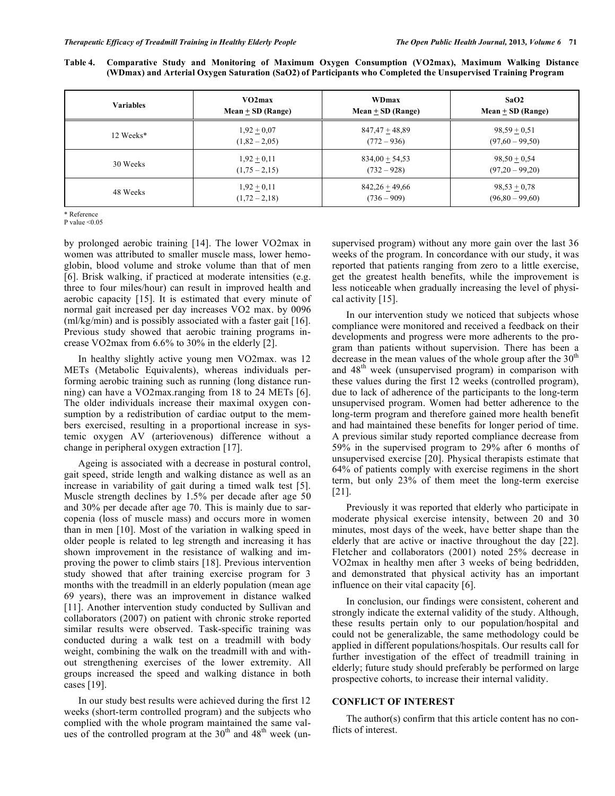| Table 4. Comparative Study and Monitoring of Maximum Oxygen Consumption (VO2max), Maximum Walking Distance    |  |  |  |  |  |
|---------------------------------------------------------------------------------------------------------------|--|--|--|--|--|
| (WDmax) and Arterial Oxygen Saturation (SaO2) of Participants who Completed the Unsupervised Training Program |  |  |  |  |  |

| <b>Variables</b> | VO2max              | WDmax               | SaO2                |  |
|------------------|---------------------|---------------------|---------------------|--|
|                  | $Mean + SD (Range)$ | $Mean + SD (Range)$ | $Mean + SD (Range)$ |  |
| 12 Weeks*        | $1,92 \pm 0,07$     | $847,47 + 48,89$    | $98,59 + 0,51$      |  |
|                  | $(1,82 - 2,05)$     | $(772 - 936)$       | $(97,60 - 99,50)$   |  |
| 30 Weeks         | $1,92 + 0,11$       | $834,00 + 54,53$    | $98,50 + 0,54$      |  |
|                  | $(1,75 - 2,15)$     | $(732 - 928)$       | $(97,20-99,20)$     |  |
| 48 Weeks         | $1,92 + 0,11$       | $842,26 + 49,66$    | $98,53 + 0,78$      |  |
|                  | $(1,72 - 2,18)$     | $(736 - 909)$       | $(96,80 - 99,60)$   |  |

\* Reference

P value <0.05

by prolonged aerobic training [14]. The lower VO2max in women was attributed to smaller muscle mass, lower hemoglobin, blood volume and stroke volume than that of men [6]. Brisk walking, if practiced at moderate intensities (e.g. three to four miles/hour) can result in improved health and aerobic capacity [15]. It is estimated that every minute of normal gait increased per day increases VO2 max. by 0096 (ml/kg/min) and is possibly associated with a faster gait [16]. Previous study showed that aerobic training programs increase VO2max from 6.6% to 30% in the elderly [2].

In healthy slightly active young men VO2max. was 12 METs (Metabolic Equivalents), whereas individuals performing aerobic training such as running (long distance running) can have a VO2max.ranging from 18 to 24 METs [6]. The older individuals increase their maximal oxygen consumption by a redistribution of cardiac output to the members exercised, resulting in a proportional increase in systemic oxygen AV (arteriovenous) difference without a change in peripheral oxygen extraction [17].

Ageing is associated with a decrease in postural control, gait speed, stride length and walking distance as well as an increase in variability of gait during a timed walk test [5]. Muscle strength declines by 1.5% per decade after age 50 and 30% per decade after age 70. This is mainly due to sarcopenia (loss of muscle mass) and occurs more in women than in men [10]. Most of the variation in walking speed in older people is related to leg strength and increasing it has shown improvement in the resistance of walking and improving the power to climb stairs [18]. Previous intervention study showed that after training exercise program for 3 months with the treadmill in an elderly population (mean age 69 years), there was an improvement in distance walked [11]. Another intervention study conducted by Sullivan and collaborators (2007) on patient with chronic stroke reported similar results were observed. Task-specific training was conducted during a walk test on a treadmill with body weight, combining the walk on the treadmill with and without strengthening exercises of the lower extremity. All groups increased the speed and walking distance in both cases [19].

In our study best results were achieved during the first 12 weeks (short-term controlled program) and the subjects who complied with the whole program maintained the same values of the controlled program at the  $30<sup>th</sup>$  and  $48<sup>th</sup>$  week (unsupervised program) without any more gain over the last 36 weeks of the program. In concordance with our study, it was reported that patients ranging from zero to a little exercise, get the greatest health benefits, while the improvement is less noticeable when gradually increasing the level of physical activity [15].

In our intervention study we noticed that subjects whose compliance were monitored and received a feedback on their developments and progress were more adherents to the program than patients without supervision. There has been a decrease in the mean values of the whole group after the  $30<sup>th</sup>$ and  $48<sup>th</sup>$  week (unsupervised program) in comparison with these values during the first 12 weeks (controlled program), due to lack of adherence of the participants to the long-term unsupervised program. Women had better adherence to the long-term program and therefore gained more health benefit and had maintained these benefits for longer period of time. A previous similar study reported compliance decrease from 59% in the supervised program to 29% after 6 months of unsupervised exercise [20]. Physical therapists estimate that 64% of patients comply with exercise regimens in the short term, but only 23% of them meet the long-term exercise [21].

Previously it was reported that elderly who participate in moderate physical exercise intensity, between 20 and 30 minutes, most days of the week, have better shape than the elderly that are active or inactive throughout the day [22]. Fletcher and collaborators (2001) noted 25% decrease in VO2max in healthy men after 3 weeks of being bedridden, and demonstrated that physical activity has an important influence on their vital capacity [6].

In conclusion, our findings were consistent, coherent and strongly indicate the external validity of the study. Although, these results pertain only to our population/hospital and could not be generalizable, the same methodology could be applied in different populations/hospitals. Our results call for further investigation of the effect of treadmill training in elderly; future study should preferably be performed on large prospective cohorts, to increase their internal validity.

# **CONFLICT OF INTEREST**

The author(s) confirm that this article content has no conflicts of interest.